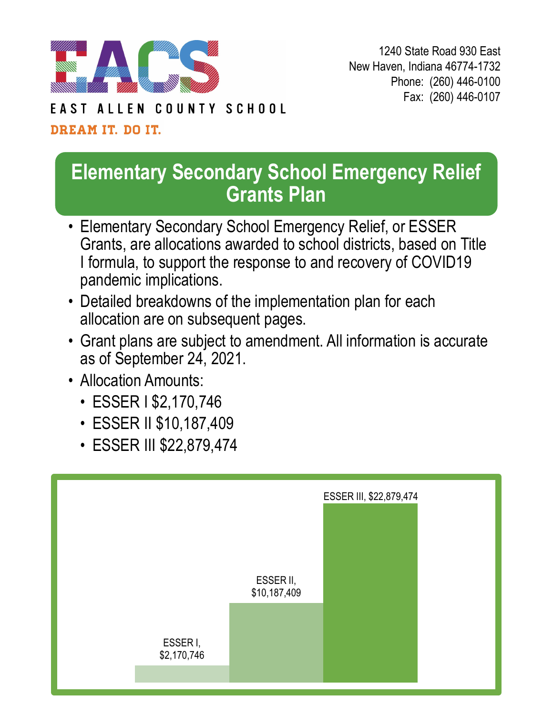

1240 State Road 930 East New Haven, Indiana 46774-1732 Phone: (260) 446-0100 Fax: (260) 446-0107

#### COUNTY SCHOOL FAST ALLEN

### DREAM IT. DO IT.

## **Elementary Secondary School Emergency Relief Grants Plan**

- Elementary Secondary School Emergency Relief, or ESSER Grants, are allocations awarded to school districts, based on Title I formula, to support the response to and recovery of COVID19 pandemic implications.
- Detailed breakdowns of the implementation plan for each allocation are on subsequent pages.
- Grant plans are subject to amendment. All information is accurate as of September 24, 2021.
- Allocation Amounts:
	- ESSER I \$2,170,746
	- ESSER II \$10,187,409
	- ESSER III \$22,879,474

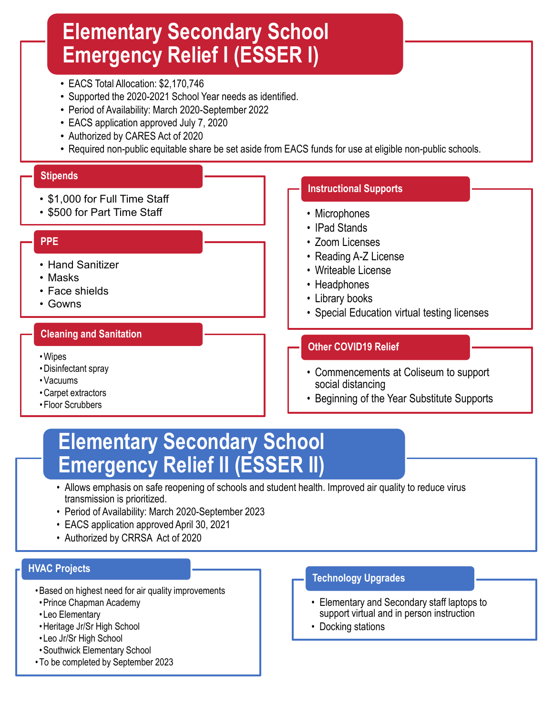## **Elementary Secondary School Emergency Relief I (ESSER I)**

- EACS Total Allocation: \$2,170,746
- Supported the 2020-2021 School Year needs as identified.
- Period of Availability: March 2020-September 2022
- EACS application approved July 7, 2020
- Authorized by CARES Act of 2020
- Required non-public equitable share be set aside from EACS funds for use at eligible non-public schools.

### **Stipends**

- \$1,000 for Full Time Staff
- \$500 for Part Time Staff

### **PPE**

#### • Hand Sanitizer

- Masks
- Face shields
- Gowns

### **Cleaning and Sanitation**

- •Wipes
- •Disinfectant spray
- •Vacuums
- •Carpet extractors
- Floor Scrubbers

### **Instructional Supports**

- Microphones
- IPad Stands
- Zoom Licenses
- Reading A-Z License
- Writeable License
- Headphones
- Library books
- Special Education virtual testing licenses

### **Other COVID19 Relief**

- Commencements at Coliseum to support social distancing
- Beginning of the Year Substitute Supports

# **Emergency Relief II (ESSER II) Elementary Secondary School**

- Allows emphasis on safe reopening of schools and student health. Improved air quality to reduce virus transmission is prioritized.
- Period of Availability: March 2020-September 2023
- EACS application approved April 30, 2021
- Authorized by CRRSA Act of 2020

### **HVAC Projects**

- •Based on highest need for air quality improvements
- •Prince Chapman Academy
- Leo Elementary
- •Heritage Jr/Sr High School
- Leo Jr/Sr High School
- •Southwick Elementary School
- To be completed by September 2023

#### **Technology Upgrades**

- Elementary and Secondary staff laptops to support virtual and in person instruction
- Docking stations